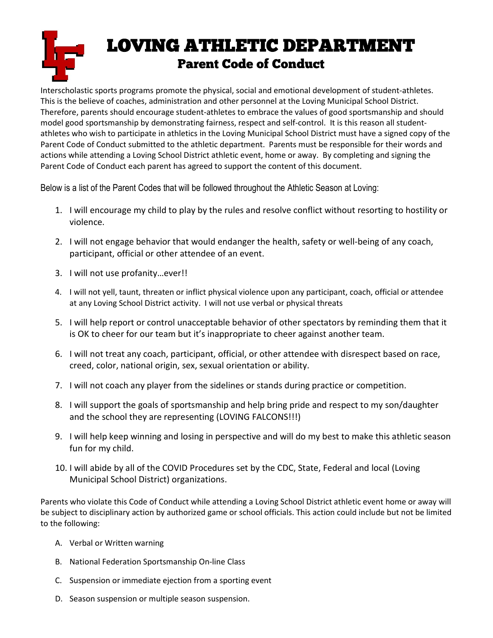## **LOVING ATHLETIC DEPARTMENT** ī **Parent Code of Conduct**

Interscholastic sports programs promote the physical, social and emotional development of student-athletes. This is the believe of coaches, administration and other personnel at the Loving Municipal School District. Therefore, parents should encourage student-athletes to embrace the values of good sportsmanship and should model good sportsmanship by demonstrating fairness, respect and self-control. It is this reason all studentathletes who wish to participate in athletics in the Loving Municipal School District must have a signed copy of the Parent Code of Conduct submitted to the athletic department. Parents must be responsible for their words and actions while attending a Loving School District athletic event, home or away. By completing and signing the Parent Code of Conduct each parent has agreed to support the content of this document.

Below is a list of the Parent Codes that will be followed throughout the Athletic Season at Loving:

- 1. I will encourage my child to play by the rules and resolve conflict without resorting to hostility or violence.
- 2. I will not engage behavior that would endanger the health, safety or well-being of any coach, participant, official or other attendee of an event.
- 3. I will not use profanity…ever!!
- 4. I will not yell, taunt, threaten or inflict physical violence upon any participant, coach, official or attendee at any Loving School District activity. I will not use verbal or physical threats
- 5. I will help report or control unacceptable behavior of other spectators by reminding them that it is OK to cheer for our team but it's inappropriate to cheer against another team.
- 6. I will not treat any coach, participant, official, or other attendee with disrespect based on race, creed, color, national origin, sex, sexual orientation or ability.
- 7. I will not coach any player from the sidelines or stands during practice or competition.
- 8. I will support the goals of sportsmanship and help bring pride and respect to my son/daughter and the school they are representing (LOVING FALCONS!!!)
- 9. I will help keep winning and losing in perspective and will do my best to make this athletic season fun for my child.
- 10. I will abide by all of the COVID Procedures set by the CDC, State, Federal and local (Loving Municipal School District) organizations.

Parents who violate this Code of Conduct while attending a Loving School District athletic event home or away will be subject to disciplinary action by authorized game or school officials. This action could include but not be limited to the following:

- A. Verbal or Written warning
- B. National Federation Sportsmanship On-line Class
- C. Suspension or immediate ejection from a sporting event
- D. Season suspension or multiple season suspension.